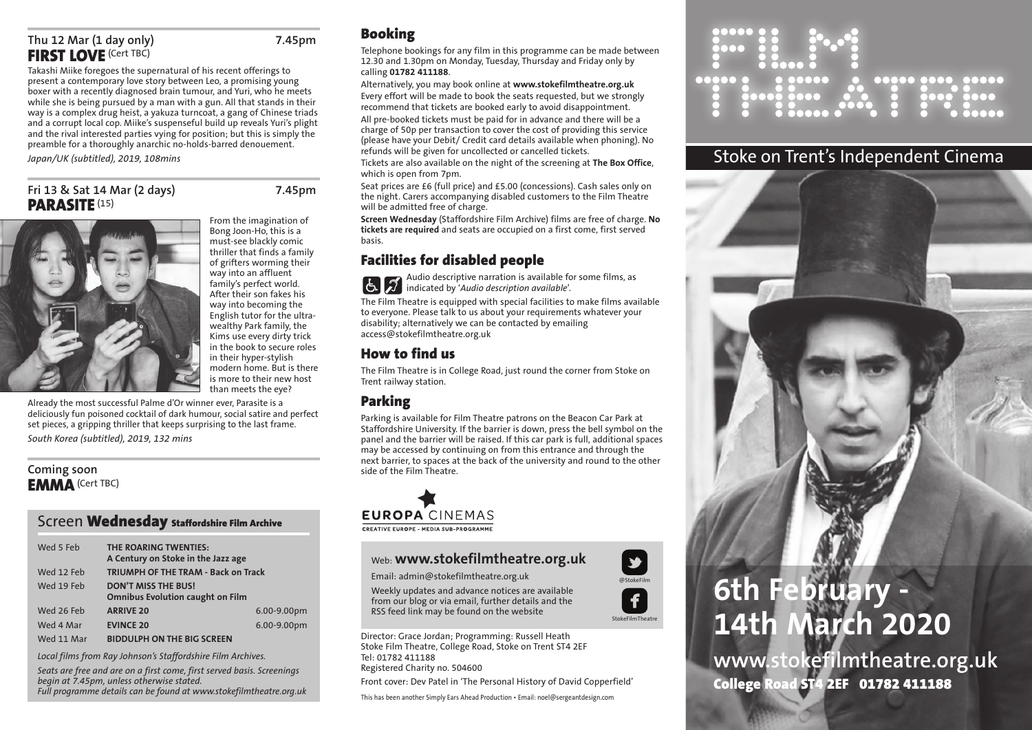## **Thu 12 Mar (1 day only) 7.45pm FIRST LOVE** (Cert TBC)

Takashi Miike foregoes the supernatural of his recent offerings to present a contemporary love story between Leo, a promising young boxer with a recently diagnosed brain tumour, and Yuri, who he meets while she is being pursued by a man with a gun. All that stands in their way is a complex drug heist, a yakuza turncoat, a gang of Chinese triads and a corrupt local cop. Miike's suspenseful build up reveals Yuri's plight and the rival interested parties vying for position; but this is simply the preamble for a thoroughly anarchic no-holds-barred denouement.

*Japan/UK (subtitled), 2019, 108mins*

## **Fri 13 & Sat 14 Mar (2 days) 7.45pm PARASITE** (15)

From the imagination of Bong Joon-Ho, this is a must-see blackly comic thriller that finds a family of grifters worming their way into an affluent family's perfect world. After their son fakes his way into becoming the English tutor for the ultrawealthy Park family, the Kims use every dirty trick in the book to secure roles in their hyper-stylish modern home. But is there is more to their new host than meets the eye?



Already the most successful Palme d'Or winner ever, Parasite is a deliciously fun poisoned cocktail of dark humour, social satire and perfect set pieces, a gripping thriller that keeps surprising to the last frame. *South Korea (subtitled), 2019, 132 mins*

## **Coming soon EMMA**(Cert TBC)

### Screen **Wednesday Staffordshire Film Archive**

| Wed 5 Feb  | THE ROARING TWENTIES:<br>A Century on Stoke in the Jazz age           |             |
|------------|-----------------------------------------------------------------------|-------------|
| Wed 12 Feb | <b>TRIUMPH OF THE TRAM - Back on Track</b>                            |             |
| Wed 19 Feb | <b>DON'T MISS THE BUS!</b><br><b>Omnibus Evolution caught on Film</b> |             |
| Wed 26 Feb | <b>ARRIVE 20</b>                                                      | 6.00-9.00pm |
| Wed 4 Mar  | <b>EVINCE 20</b>                                                      | 6.00-9.00pm |
| Wed 11 Mar | <b>BIDDULPH ON THE BIG SCREEN</b>                                     |             |

*Local films from Ray Johnson's Staffordshire Film Archives.*

*Seats are free and are on a first come, first served basis. Screenings begin at 7.45pm, unless otherwise stated. Full programme details can be found at www.stokefilmtheatre.org.uk*

## **Booking**

Telephone bookings for any film in this programme can be made between 12.30 and 1.30pm on Monday, Tuesday, Thursday and Friday only by calling **01782 411188**.

#### Alternatively, you may book online at **www.stokefilmtheatre.org.uk**

Every effort will be made to book the seats requested, but we strongly recommend that tickets are booked early to avoid disappointment. All pre-booked tickets must be paid for in advance and there will be a charge of 50p per transaction to cover the cost of providing this service (please have your Debit/ Credit card details available when phoning). No refunds will be given for uncollected or cancelled tickets.

Tickets are also available on the night of the screening at **The Box Office**, which is open from 7pm.

Seat prices are £6 (full price) and £5.00 (concessions). Cash sales only on the night. Carers accompanying disabled customers to the Film Theatre will be admitted free of charge.

**Screen Wednesday** (Staffordshire Film Archive) films are free of charge. **No tickets are required** and seats are occupied on a first come, first served basis.

## **Facilities for disabled people**

Audio descriptive narration is available for some films, as indicated by '*Audio description available*'.

The Film Theatre is equipped with special facilities to make films available to everyone. Please talk to us about your requirements whatever your disability; alternatively we can be contacted by emailing access@stokefilmtheatre.org.uk

## **How to find us**

The Film Theatre is in College Road, just round the corner from Stoke on Trent railway station.

## **Parking**

Parking is available for Film Theatre patrons on the Beacon Car Park at Staffordshire University. If the barrier is down, press the bell symbol on the panel and the barrier will be raised. If this car park is full, additional spaces may be accessed by continuing on from this entrance and through the next barrier, to spaces at the back of the university and round to the other side of the Film Theatre.

# **EUROPA CINEMAS CREATIVE EUROPE - MEDIA SUB-PROGRAMME**

## Web: **www.stokefilmtheatre.org.uk**

Email: admin@stokefilmtheatre.org.uk

Weekly updates and advance notices are available from our blog or via email, further details and the RSS feed link may be found on the website

Director: Grace Jordan; Programming: Russell Heath Stoke Film Theatre, College Road, Stoke on Trent ST4 2EF Tel: 01782 411188 Registered Charity no. 504600

Front cover: Dev Patel in 'The Personal History of David Copperfield'

This has been another Simply Ears Ahead Production • Email: noel@sergeantdesign.com



## Stoke on Trent's Independent Cinema



# **14th March 2020**

**www.stokefilmtheatre.org.uk College Road ST4 2EF 01782 411188**